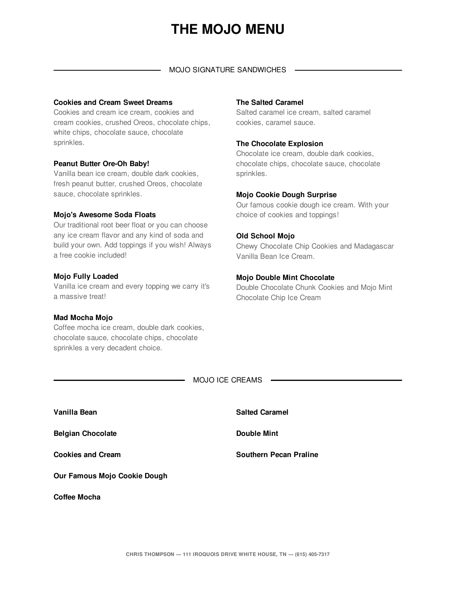# **THE MOJO MENU**

#### MOJO SIGNATURE SANDWICHES

## **Cookies and Cream Sweet Dreams**

Cookies and cream ice cream, cookies and cream cookies, crushed Oreos, chocolate chips, white chips, chocolate sauce, chocolate sprinkles.

## **Peanut Butter Ore-Oh Baby!**

Vanilla bean ice cream, double dark cookies, fresh peanut butter, crushed Oreos, chocolate sauce, chocolate sprinkles.

## **Mojo's Awesome Soda Floats**

Our traditional root beer float or you can choose any ice cream flavor and any kind of soda and build your own. Add toppings if you wish! Always a free cookie included!

## **Mojo Fully Loaded**

Vanilla ice cream and every topping we carry it's a massive treat!

## **Mad Mocha Mojo**

Coffee mocha ice cream, double dark cookies, chocolate sauce, chocolate chips, chocolate sprinkles a very decadent choice.

## **The Salted Caramel**

Salted caramel ice cream, salted caramel cookies, caramel sauce.

## **The Chocolate Explosion**

Chocolate ice cream, double dark cookies, chocolate chips, chocolate sauce, chocolate sprinkles.

## **Mojo Cookie Dough Surprise**

Our famous cookie dough ice cream. With your choice of cookies and toppings!

## **Old School Mojo**

Chewy Chocolate Chip Cookies and Madagascar Vanilla Bean Ice Cream.

## **Mojo Double Mint Chocolate**

Double Chocolate Chunk Cookies and Mojo Mint Chocolate Chip Ice Cream

MOJO ICE CREAMS

| Vanilla Bean                 | <b>Salted Caramel</b>         |
|------------------------------|-------------------------------|
| <b>Belgian Chocolate</b>     | <b>Double Mint</b>            |
| <b>Cookies and Cream</b>     | <b>Southern Pecan Praline</b> |
| Our Famous Mojo Cookie Dough |                               |
| Coffee Mocha                 |                               |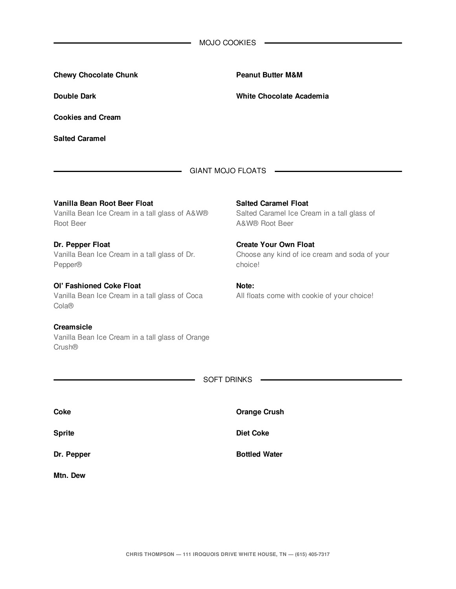| <b>MOJO COOKIES</b> |
|---------------------|
|                     |

| <b>Chewy Chocolate Chunk</b>                                                                | <b>Peanut Butter M&amp;M</b>                                                                 |
|---------------------------------------------------------------------------------------------|----------------------------------------------------------------------------------------------|
| <b>Double Dark</b>                                                                          | White Chocolate Academia                                                                     |
| <b>Cookies and Cream</b>                                                                    |                                                                                              |
| <b>Salted Caramel</b>                                                                       |                                                                                              |
|                                                                                             | <b>GIANT MOJO FLOATS</b>                                                                     |
| Vanilla Bean Root Beer Float<br>Vanilla Bean Ice Cream in a tall glass of A&W®<br>Root Beer | <b>Salted Caramel Float</b><br>Salted Caramel Ice Cream in a tall glass of<br>A&W® Root Beer |
| Dr. Pepper Float<br>Vanilla Bean Ice Cream in a tall glass of Dr.<br>Pepper®                | <b>Create Your Own Float</b><br>Choose any kind of ice cream and soda of your<br>choice!     |
| Ol' Fashioned Coke Float<br>Vanilla Bean Ice Cream in a tall glass of Coca<br>Cola®         | Note:<br>All floats come with cookie of your choice!                                         |
| <b>Creamsicle</b><br>Vanilla Bean Ice Cream in a tall glass of Orange<br>Crush®             |                                                                                              |
|                                                                                             | <b>SOFT DRINKS</b>                                                                           |
| <b>Coke</b>                                                                                 | <b>Orange Crush</b>                                                                          |

**Sprite**

**Dr. Pepper**

**Mtn. Dew**

**Diet Coke**

**Bottled Water**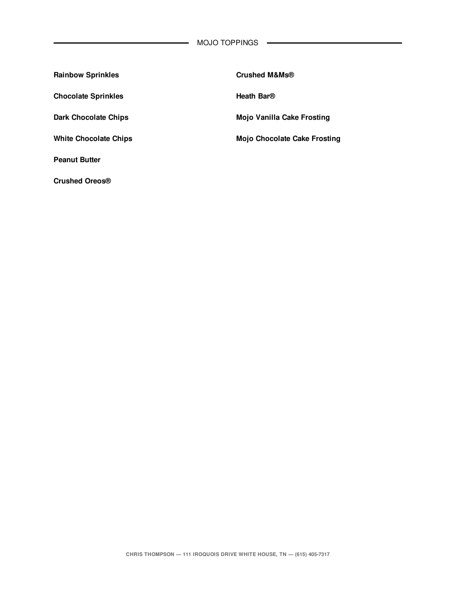| <b>Rainbow Sprinkles</b>   | <b>Crushed M&amp;Ms®</b>            |
|----------------------------|-------------------------------------|
| <b>Chocolate Sprinkles</b> | Heath Bar <sup>®</sup>              |
| Dark Chocolate Chips       | Mojo Vanilla Cake Frosting          |
| White Chocolate Chips      | <b>Mojo Chocolate Cake Frosting</b> |
| <b>Peanut Butter</b>       |                                     |
| <b>Crushed Oreos®</b>      |                                     |